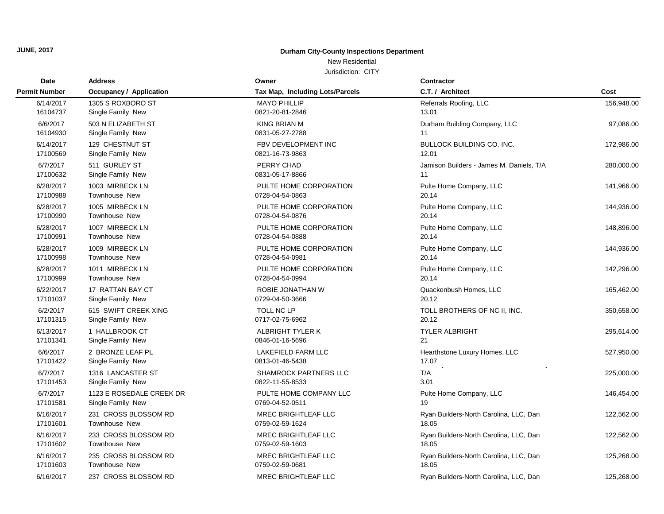# New Residential

| Date                 | <b>Address</b>                 | Owner                           | Contractor                               |            |
|----------------------|--------------------------------|---------------------------------|------------------------------------------|------------|
| <b>Permit Number</b> | <b>Occupancy / Application</b> | Tax Map, Including Lots/Parcels | C.T. / Architect                         | Cost       |
| 6/14/2017            | 1305 S ROXBORO ST              | <b>MAYO PHILLIP</b>             | Referrals Roofing, LLC                   | 156,948.00 |
| 16104737             | Single Family New              | 0821-20-81-2846                 | 13.01                                    |            |
| 6/6/2017             | 503 N ELIZABETH ST             | <b>KING BRIAN M</b>             | Durham Building Company, LLC             | 97,086.00  |
| 16104930             | Single Family New              | 0831-05-27-2788                 | 11                                       |            |
| 6/14/2017            | 129 CHESTNUT ST                | FBV DEVELOPMENT INC             | <b>BULLOCK BUILDING CO. INC.</b>         | 172,986.00 |
| 17100569             | Single Family New              | 0821-16-73-9863                 | 12.01                                    |            |
| 6/7/2017             | 511 GURLEY ST                  | PERRY CHAD                      | Jamison Builders - James M. Daniels, T/A | 280,000.00 |
| 17100632             | Single Family New              | 0831-05-17-8866                 | 11                                       |            |
| 6/28/2017            | 1003 MIRBECK LN                | PULTE HOME CORPORATION          | Pulte Home Company, LLC                  | 141,966.00 |
| 17100988             | <b>Townhouse New</b>           | 0728-04-54-0863                 | 20.14                                    |            |
| 6/28/2017            | 1005 MIRBECK LN                | PULTE HOME CORPORATION          | Pulte Home Company, LLC                  | 144,936.00 |
| 17100990             | <b>Townhouse New</b>           | 0728-04-54-0876                 | 20.14                                    |            |
| 6/28/2017            | 1007 MIRBECK LN                | PULTE HOME CORPORATION          | Pulte Home Company, LLC                  | 148,896.00 |
| 17100991             | Townhouse New                  | 0728-04-54-0888                 | 20.14                                    |            |
| 6/28/2017            | 1009 MIRBECK LN                | PULTE HOME CORPORATION          | Pulte Home Company, LLC                  | 144,936.00 |
| 17100998             | Townhouse New                  | 0728-04-54-0981                 | 20.14                                    |            |
| 6/28/2017            | 1011 MIRBECK LN                | PULTE HOME CORPORATION          | Pulte Home Company, LLC                  | 142,296.00 |
| 17100999             | <b>Townhouse New</b>           | 0728-04-54-0994                 | 20.14                                    |            |
| 6/22/2017            | 17 RATTAN BAY CT               | ROBIE JONATHAN W                | Quackenbush Homes, LLC                   | 165,462.00 |
| 17101037             | Single Family New              | 0729-04-50-3666                 | 20.12                                    |            |
| 6/2/2017             | 615 SWIFT CREEK XING           | TOLL NC LP                      | TOLL BROTHERS OF NC II, INC.             | 350,658.00 |
| 17101315             | Single Family New              | 0717-02-75-6962                 | 20.12                                    |            |
| 6/13/2017            | 1 HALLBROOK CT                 | ALBRIGHT TYLER K                | <b>TYLER ALBRIGHT</b>                    | 295,614.00 |
| 17101341             | Single Family New              | 0846-01-16-5696                 | 21                                       |            |
| 6/6/2017             | 2 BRONZE LEAF PL               | <b>LAKEFIELD FARM LLC</b>       | Hearthstone Luxury Homes, LLC            | 527,950.00 |
| 17101422             | Single Family New              | 0813-01-46-5438                 | 17.07                                    |            |
| 6/7/2017             | 1316 LANCASTER ST              | SHAMROCK PARTNERS LLC           | T/A                                      | 225,000.00 |
| 17101453             | Single Family New              | 0822-11-55-8533                 | 3.01                                     |            |
| 6/7/2017             | 1123 E ROSEDALE CREEK DR       | PULTE HOME COMPANY LLC          | Pulte Home Company, LLC                  | 146,454.00 |
| 17101581             | Single Family New              | 0769-04-52-0511                 | 19                                       |            |
| 6/16/2017            | 231 CROSS BLOSSOM RD           | <b>MREC BRIGHTLEAF LLC</b>      | Ryan Builders-North Carolina, LLC, Dan   | 122,562.00 |
| 17101601             | <b>Townhouse New</b>           | 0759-02-59-1624                 | 18.05                                    |            |
| 6/16/2017            | 233 CROSS BLOSSOM RD           | <b>MREC BRIGHTLEAF LLC</b>      | Ryan Builders-North Carolina, LLC, Dan   | 122,562.00 |
| 17101602             | Townhouse New                  | 0759-02-59-1603                 | 18.05                                    |            |
| 6/16/2017            | 235 CROSS BLOSSOM RD           | <b>MREC BRIGHTLEAF LLC</b>      | Ryan Builders-North Carolina, LLC, Dan   | 125,268.00 |
| 17101603             | <b>Townhouse New</b>           | 0759-02-59-0681                 | 18.05                                    |            |
| 6/16/2017            | 237 CROSS BLOSSOM RD           | <b>MREC BRIGHTLEAF LLC</b>      | Ryan Builders-North Carolina, LLC, Dan   | 125,268.00 |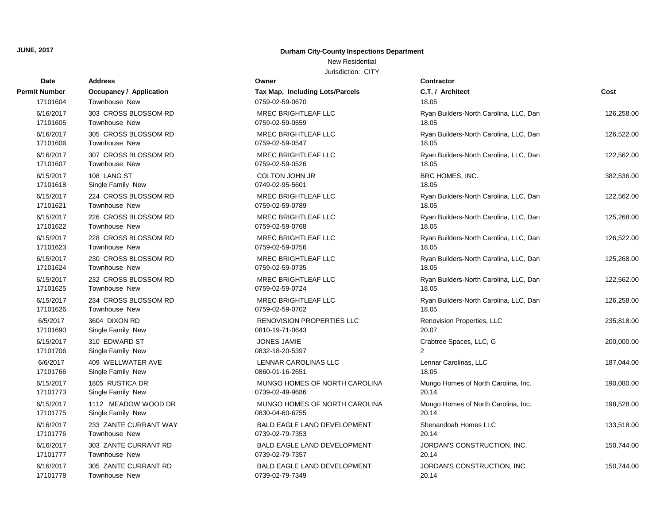#### New Residential

| Date          | <b>Address</b>                 | Owner                              | <b>Contractor</b>                      |            |
|---------------|--------------------------------|------------------------------------|----------------------------------------|------------|
| Permit Number | <b>Occupancy / Application</b> | Tax Map, Including Lots/Parcels    | C.T. / Architect                       | Cost       |
| 17101604      | Townhouse New                  | 0759-02-59-0670                    | 18.05                                  |            |
| 6/16/2017     | 303 CROSS BLOSSOM RD           | <b>MREC BRIGHTLEAF LLC</b>         | Ryan Builders-North Carolina, LLC, Dan | 126,258.00 |
| 17101605      | Townhouse New                  | 0759-02-59-0559                    | 18.05                                  |            |
| 6/16/2017     | 305 CROSS BLOSSOM RD           | <b>MREC BRIGHTLEAF LLC</b>         | Ryan Builders-North Carolina, LLC, Dan | 126,522.00 |
| 17101606      | <b>Townhouse New</b>           | 0759-02-59-0547                    | 18.05                                  |            |
| 6/16/2017     | 307 CROSS BLOSSOM RD           | <b>MREC BRIGHTLEAF LLC</b>         | Ryan Builders-North Carolina, LLC, Dan | 122,562.00 |
| 17101607      | Townhouse New                  | 0759-02-59-0526                    | 18.05                                  |            |
| 6/15/2017     | 108 LANG ST                    | <b>COLTON JOHN JR</b>              | BRC HOMES, INC.                        | 382,536.00 |
| 17101618      | Single Family New              | 0749-02-95-5601                    | 18.05                                  |            |
| 6/15/2017     | 224 CROSS BLOSSOM RD           | MREC BRIGHTLEAF LLC                | Ryan Builders-North Carolina, LLC, Dan | 122,562.00 |
| 17101621      | Townhouse New                  | 0759-02-59-0789                    | 18.05                                  |            |
| 6/15/2017     | 226 CROSS BLOSSOM RD           | <b>MREC BRIGHTLEAF LLC</b>         | Ryan Builders-North Carolina, LLC, Dan | 125,268.00 |
| 17101622      | <b>Townhouse New</b>           | 0759-02-59-0768                    | 18.05                                  |            |
| 6/15/2017     | 228 CROSS BLOSSOM RD           | <b>MREC BRIGHTLEAF LLC</b>         | Ryan Builders-North Carolina, LLC, Dan | 126,522.00 |
| 17101623      | Townhouse New                  | 0759-02-59-0756                    | 18.05                                  |            |
| 6/15/2017     | 230 CROSS BLOSSOM RD           | <b>MREC BRIGHTLEAF LLC</b>         | Ryan Builders-North Carolina, LLC, Dan | 125,268.00 |
| 17101624      | Townhouse New                  | 0759-02-59-0735                    | 18.05                                  |            |
| 6/15/2017     | 232 CROSS BLOSSOM RD           | <b>MREC BRIGHTLEAF LLC</b>         | Ryan Builders-North Carolina, LLC, Dan | 122,562.00 |
| 17101625      | <b>Townhouse New</b>           | 0759-02-59-0724                    | 18.05                                  |            |
| 6/15/2017     | 234 CROSS BLOSSOM RD           | MREC BRIGHTLEAF LLC                | Ryan Builders-North Carolina, LLC, Dan | 126,258.00 |
| 17101626      | <b>Townhouse New</b>           | 0759-02-59-0702                    | 18.05                                  |            |
| 6/5/2017      | 3604 DIXON RD                  | <b>RENOVISION PROPERTIES LLC</b>   | Renovision Properties, LLC             | 235,818.00 |
| 17101690      | Single Family New              | 0810-19-71-0643                    | 20.07                                  |            |
| 6/15/2017     | 310 EDWARD ST                  | <b>JONES JAMIE</b>                 | Crabtree Spaces, LLC, G                | 200,000.00 |
| 17101706      | Single Family New              | 0832-18-20-5397                    | $\mathcal{P}$                          |            |
| 6/6/2017      | 409 WELLWATER AVE              | LENNAR CAROLINAS LLC               | Lennar Carolinas, LLC                  | 187,044.00 |
| 17101766      | Single Family New              | 0860-01-16-2651                    | 18.05                                  |            |
| 6/15/2017     | 1805 RUSTICA DR                | MUNGO HOMES OF NORTH CAROLINA      | Mungo Homes of North Carolina, Inc.    | 190,080.00 |
| 17101773      | Single Family New              | 0739-02-49-9686                    | 20.14                                  |            |
| 6/15/2017     | 1112 MEADOW WOOD DR            | MUNGO HOMES OF NORTH CAROLINA      | Mungo Homes of North Carolina, Inc.    | 198,528.00 |
| 17101775      | Single Family New              | 0830-04-60-6755                    | 20.14                                  |            |
| 6/16/2017     | 233 ZANTE CURRANT WAY          | <b>BALD EAGLE LAND DEVELOPMENT</b> | Shenandoah Homes LLC                   | 133,518.00 |
| 17101776      | Townhouse New                  | 0739-02-79-7353                    | 20.14                                  |            |
| 6/16/2017     | 303 ZANTE CURRANT RD           | <b>BALD EAGLE LAND DEVELOPMENT</b> | JORDAN'S CONSTRUCTION, INC.            | 150,744.00 |
| 17101777      | <b>Townhouse New</b>           | 0739-02-79-7357                    | 20.14                                  |            |
| 6/16/2017     | 305 ZANTE CURRANT RD           | <b>BALD EAGLE LAND DEVELOPMENT</b> | JORDAN'S CONSTRUCTION, INC.            | 150,744.00 |
| 17101778      | <b>Townhouse New</b>           | 0739-02-79-7349                    | 20.14                                  |            |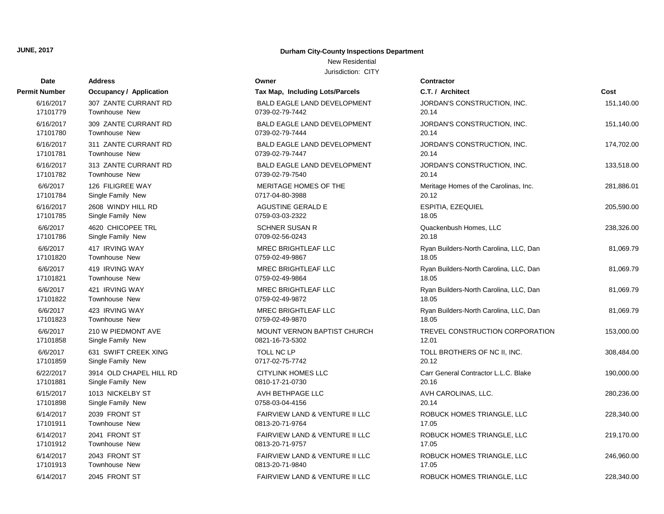# **Date Contractor Address Owner Permit Number Occupancy / Application C.T. 1999 C.T. C.T.** 7 17101913 Townhouse New 0813-20-71-061-17101913 0 17101912 Townhouse New 0813-20-71-071-081-0813-20-71-071-081-081-081-081-081-081-17101911 Townhouse New 2013-20-71-0764 17101911 0813-20-71-0764 17.1054 17.1054 17.1054 17.1054 17.1054 17.10 17101898 Single Family New 00 17101881 Single Family New 0810-17101881 0810-17101881 17101859 Single Family New 0011-02-77101859 0012-7742 20.12-7742 20.12-7742 20.12 6/22/2017 3914 OLD CHAPEL HILL RD 17101858 Single Family New 0 6/6/2017 631 SWIFT CREEK XING 17101823 Townhouse New 2002-02-5970 18.059-02-49-9870 18.059-02-49-9870 18.059-02-6/6/2017 210 W PIEDMONT AVE 17101822 Townhouse New 0 17101821 Townhouse New 0 17101820 Townhouse New 0 17101786 Single Family New 00 17101785 Single Family New 0 6/6/2017 4620 CHICOPEE TRL 17101784 Single Family New 0717-04-80-3988 20.12 6/16/2017 2608 WINDY HILL RD 17101782 Townhouse New 20.14 Town Town New 20.14 Town 17101782 17101781 Townhouse New 0739-02-79-7447 20.147 20.147 20.147 20.147 20.147 20.147 20.147 20.147 20.147 20.147 2 6/16/2017 313 ZANTE CURRANT RD 17101780 Townhouse New 0 6/16/2017 311 ZANTE CURRANT RD 17101779 Townhouse New 2002-02-7442 20.142 20.142 20.142 20.142 20.142 20.142 20.142 20.142 20.142 20.142 20 6/16/2017 309 ZANTE CURRANT RD 6/16/2017 307 ZANTE CURRANT RD

#### **JUNE, 2017 Durham City-County Inspections Department**

New Residential

| it Number | <b>Occupancy / Application</b> | Tax Map, Including Lots/Parcels    | C.T. / Architect                       | Cost       |
|-----------|--------------------------------|------------------------------------|----------------------------------------|------------|
| 6/16/2017 | 307 ZANTE CURRANT RD           | BALD EAGLE LAND DEVELOPMENT        | JORDAN'S CONSTRUCTION, INC.            | 151,140.00 |
| 17101779  | <b>Townhouse New</b>           | 0739-02-79-7442                    | 20.14                                  |            |
| 6/16/2017 | 309 ZANTE CURRANT RD           | BALD EAGLE LAND DEVELOPMENT        | JORDAN'S CONSTRUCTION, INC.            | 151,140.00 |
| 17101780  | Townhouse New                  | 0739-02-79-7444                    | 20.14                                  |            |
| 6/16/2017 | 311 ZANTE CURRANT RD           | <b>BALD EAGLE LAND DEVELOPMENT</b> | JORDAN'S CONSTRUCTION, INC.            | 174,702.00 |
| 17101781  | Townhouse New                  | 0739-02-79-7447                    | 20.14                                  |            |
| 6/16/2017 | 313 ZANTE CURRANT RD           | <b>BALD EAGLE LAND DEVELOPMENT</b> | JORDAN'S CONSTRUCTION, INC.            | 133,518.00 |
| 17101782  | Townhouse New                  | 0739-02-79-7540                    | 20.14                                  |            |
| 6/6/2017  | 126 FILIGREE WAY               | MERITAGE HOMES OF THE              | Meritage Homes of the Carolinas, Inc.  | 281,886.01 |
| 17101784  | Single Family New              | 0717-04-80-3988                    | 20.12                                  |            |
| 6/16/2017 | 2608 WINDY HILL RD             | AGUSTINE GERALD E                  | ESPITIA, EZEQUIEL                      | 205,590.00 |
| 17101785  | Single Family New              | 0759-03-03-2322                    | 18.05                                  |            |
| 6/6/2017  | 4620 CHICOPEE TRL              | <b>SCHNER SUSAN R</b>              | Quackenbush Homes, LLC                 | 238,326.00 |
| 17101786  | Single Family New              | 0709-02-56-0243                    | 20.18                                  |            |
| 6/6/2017  | 417 IRVING WAY                 | <b>MREC BRIGHTLEAF LLC</b>         | Ryan Builders-North Carolina, LLC, Dan | 81,069.79  |
| 17101820  | <b>Townhouse New</b>           | 0759-02-49-9867                    | 18.05                                  |            |
| 6/6/2017  | 419 IRVING WAY                 | MREC BRIGHTLEAF LLC                | Ryan Builders-North Carolina, LLC, Dan | 81,069.79  |
| 17101821  | Townhouse New                  | 0759-02-49-9864                    | 18.05                                  |            |
| 6/6/2017  | 421 IRVING WAY                 | MREC BRIGHTLEAF LLC                | Ryan Builders-North Carolina, LLC, Dan | 81,069.79  |
| 17101822  | <b>Townhouse New</b>           | 0759-02-49-9872                    | 18.05                                  |            |
| 6/6/2017  | 423 IRVING WAY                 | <b>MREC BRIGHTLEAF LLC</b>         | Ryan Builders-North Carolina, LLC, Dan | 81,069.79  |
| 17101823  | Townhouse New                  | 0759-02-49-9870                    | 18.05                                  |            |
| 6/6/2017  | 210 W PIEDMONT AVE             | <b>MOUNT VERNON BAPTIST CHURCH</b> | TREVEL CONSTRUCTION CORPORATION        | 153,000.00 |
| 17101858  | Single Family New              | 0821-16-73-5302                    | 12.01                                  |            |
| 6/6/2017  | 631 SWIFT CREEK XING           | TOLL NC LP                         | TOLL BROTHERS OF NC II, INC.           | 308,484.00 |
| 17101859  | Single Family New              | 0717-02-75-7742                    | 20.12                                  |            |
| 6/22/2017 | 3914 OLD CHAPEL HILL RD        | <b>CITYLINK HOMES LLC</b>          | Carr General Contractor L.L.C. Blake   | 190,000.00 |
| 17101881  | Single Family New              | 0810-17-21-0730                    | 20.16                                  |            |
| 6/15/2017 | 1013 NICKELBY ST               | AVH BETHPAGE LLC                   | AVH CAROLINAS, LLC.                    | 280,236.00 |
| 17101898  | Single Family New              | 0758-03-04-4156                    | 20.14                                  |            |
| 6/14/2017 | 2039 FRONT ST                  | FAIRVIEW LAND & VENTURE II LLC     | ROBUCK HOMES TRIANGLE, LLC             | 228,340.00 |
| 17101911  | Townhouse New                  | 0813-20-71-9764                    | 17.05                                  |            |
| 6/14/2017 | 2041 FRONT ST                  | FAIRVIEW LAND & VENTURE II LLC     | ROBUCK HOMES TRIANGLE, LLC             | 219,170.00 |
| 17101912  | Townhouse New                  | 0813-20-71-9757                    | 17.05                                  |            |
| 6/14/2017 | 2043 FRONT ST                  | FAIRVIEW LAND & VENTURE II LLC     | ROBUCK HOMES TRIANGLE, LLC             | 246,960.00 |
| 17101913  | Townhouse New                  | 0813-20-71-9840                    | 17.05                                  |            |
| 6/14/2017 | 2045 FRONT ST                  | FAIRVIEW LAND & VENTURE II LLC     | ROBUCK HOMES TRIANGLE, LLC             | 228,340.00 |

| t Number  | <b>Occupancy / Application</b> | Tax Map, Including Lots/Parcels    | C.T. / Architect                       | Cost       |
|-----------|--------------------------------|------------------------------------|----------------------------------------|------------|
| 6/16/2017 | 307 ZANTE CURRANT RD           | <b>BALD EAGLE LAND DEVELOPMENT</b> | JORDAN'S CONSTRUCTION, INC.            | 151,140.00 |
| 17101779  | Townhouse New                  | 0739-02-79-7442                    | 20.14                                  |            |
| 6/16/2017 | 309 ZANTE CURRANT RD           | <b>BALD EAGLE LAND DEVELOPMENT</b> | JORDAN'S CONSTRUCTION, INC.            | 151,140.00 |
| 17101780  | Townhouse New                  | 0739-02-79-7444                    | 20.14                                  |            |
| 6/16/2017 | 311 ZANTE CURRANT RD           | <b>BALD EAGLE LAND DEVELOPMENT</b> | JORDAN'S CONSTRUCTION, INC.            | 174,702.00 |
| 17101781  | <b>Townhouse New</b>           | 0739-02-79-7447                    | 20.14                                  |            |
| 6/16/2017 | 313 ZANTE CURRANT RD           | BALD EAGLE LAND DEVELOPMENT        | JORDAN'S CONSTRUCTION, INC.            | 133,518.00 |
| 17101782  | <b>Townhouse New</b>           | 0739-02-79-7540                    | 20.14                                  |            |
| 6/6/2017  | 126 FILIGREE WAY               | MERITAGE HOMES OF THE              | Meritage Homes of the Carolinas, Inc.  | 281,886.01 |
| 17101784  | Single Family New              | 0717-04-80-3988                    | 20.12                                  |            |
| 6/16/2017 | 2608 WINDY HILL RD             | <b>AGUSTINE GERALD E</b>           | ESPITIA, EZEQUIEL                      | 205,590.00 |
| 17101785  | Single Family New              | 0759-03-03-2322                    | 18.05                                  |            |
| 6/6/2017  | 4620 CHICOPEE TRL              | <b>SCHNER SUSAN R</b>              | Quackenbush Homes, LLC                 | 238,326.00 |
| 17101786  | Single Family New              | 0709-02-56-0243                    | 20.18                                  |            |
| 6/6/2017  | 417 IRVING WAY                 | MREC BRIGHTLEAF LLC                | Ryan Builders-North Carolina, LLC, Dan | 81,069.79  |
| 17101820  | Townhouse New                  | 0759-02-49-9867                    | 18.05                                  |            |
| 6/6/2017  | 419 IRVING WAY                 | <b>MREC BRIGHTLEAF LLC</b>         | Ryan Builders-North Carolina, LLC, Dan | 81,069.79  |
| 17101821  | Townhouse New                  | 0759-02-49-9864                    | 18.05                                  |            |
| 6/6/2017  | 421 IRVING WAY                 | <b>MREC BRIGHTLEAF LLC</b>         | Ryan Builders-North Carolina, LLC, Dan | 81,069.79  |
| 17101822  | Townhouse New                  | 0759-02-49-9872                    | 18.05                                  |            |
| 6/6/2017  | 423 IRVING WAY                 | MREC BRIGHTLEAF LLC                | Ryan Builders-North Carolina, LLC, Dan | 81,069.79  |
| 17101823  | Townhouse New                  | 0759-02-49-9870                    | 18.05                                  |            |
| 6/6/2017  | 210 W PIEDMONT AVE             | <b>MOUNT VERNON BAPTIST CHURCH</b> | TREVEL CONSTRUCTION CORPORATION        | 153,000.00 |
| 17101858  | Single Family New              | 0821-16-73-5302                    | 12.01                                  |            |
| 6/6/2017  | 631 SWIFT CREEK XING           | TOLL NC LP                         | TOLL BROTHERS OF NC II, INC.           | 308,484.00 |
| 17101859  | Single Family New              | 0717-02-75-7742                    | 20.12                                  |            |
| 6/22/2017 | 3914 OLD CHAPEL HILL RD        | <b>CITYLINK HOMES LLC</b>          | Carr General Contractor L.L.C. Blake   | 190,000.00 |
| 17101881  | Single Family New              | 0810-17-21-0730                    | 20.16                                  |            |
| 6/15/2017 | 1013 NICKELBY ST               | AVH BETHPAGE LLC                   | AVH CAROLINAS, LLC.                    | 280,236.00 |
| 17101898  | Single Family New              | 0758-03-04-4156                    | 20.14                                  |            |
| 6/14/2017 | 2039 FRONT ST                  | FAIRVIEW LAND & VENTURE II LLC     | ROBUCK HOMES TRIANGLE, LLC             | 228,340.00 |
| 17101911  | Townhouse New                  | 0813-20-71-9764                    | 17.05                                  |            |
| 6/14/2017 | 2041 FRONT ST                  | FAIRVIEW LAND & VENTURE II LLC     | ROBUCK HOMES TRIANGLE, LLC             | 219,170.00 |
| 17101912  | Townhouse New                  | 0813-20-71-9757                    | 17.05                                  |            |
| 6/14/2017 | 2043 FRONT ST                  | FAIRVIEW LAND & VENTURE II LLC     | ROBUCK HOMES TRIANGLE, LLC             | 246,960.00 |
| 17101013  | Townhouse New                  | 0813-20-71-9840                    | 17 በ5                                  |            |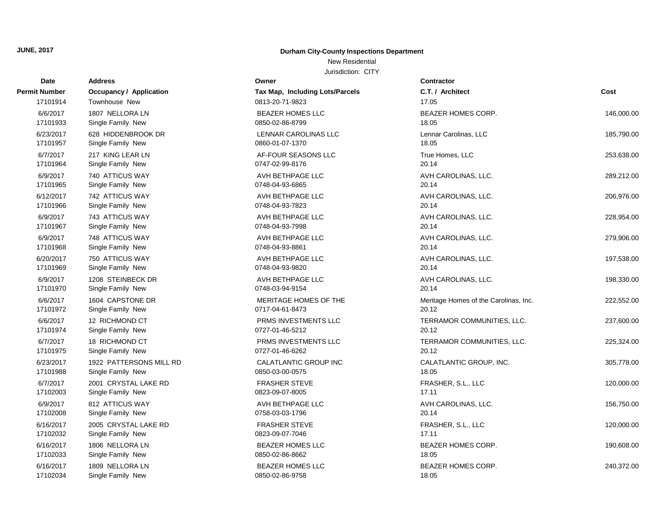#### New Residential

| Date                 | <b>Address</b>                       | Owner                               | <b>Contractor</b>                     |            |
|----------------------|--------------------------------------|-------------------------------------|---------------------------------------|------------|
| Permit Number        | <b>Occupancy / Application</b>       | Tax Map, Including Lots/Parcels     | C.T. / Architect                      | Cost       |
| 17101914             | Townhouse New                        | 0813-20-71-9823                     | 17.05                                 |            |
| 6/6/2017             | 1807 NELLORA LN                      | <b>BEAZER HOMES LLC</b>             | <b>BEAZER HOMES CORP.</b>             | 146,000.00 |
| 17101933             | Single Family New                    | 0850-02-86-8799                     | 18.05                                 |            |
| 6/23/2017            | 628 HIDDENBROOK DR                   | <b>LENNAR CAROLINAS LLC</b>         | Lennar Carolinas, LLC                 | 185,790.00 |
| 17101957             | Single Family New                    | 0860-01-07-1370                     | 18.05                                 |            |
| 6/7/2017             | 217 KING LEAR LN                     | AF-FOUR SEASONS LLC                 | True Homes, LLC                       | 253,638.00 |
| 17101964             | Single Family New                    | 0747-02-99-8176                     | 20.14                                 |            |
| 6/9/2017             | 740 ATTICUS WAY                      | AVH BETHPAGE LLC                    | AVH CAROLINAS, LLC.                   | 289,212.00 |
| 17101965             | Single Family New                    | 0748-04-93-6865                     | 20.14                                 |            |
| 6/12/2017            | 742 ATTICUS WAY                      | AVH BETHPAGE LLC                    | AVH CAROLINAS, LLC.                   | 206,976.00 |
| 17101966             | Single Family New                    | 0748-04-93-7823                     | 20.14                                 |            |
| 6/9/2017             | 743 ATTICUS WAY                      | AVH BETHPAGE LLC                    | AVH CAROLINAS, LLC.<br>20.14          | 228,954.00 |
| 17101967             | Single Family New                    | 0748-04-93-7998                     |                                       |            |
| 6/9/2017<br>17101968 | 748 ATTICUS WAY<br>Single Family New | AVH BETHPAGE LLC<br>0748-04-93-8861 | AVH CAROLINAS, LLC.<br>20.14          | 279,906.00 |
| 6/20/2017            | 750 ATTICUS WAY                      | AVH BETHPAGE LLC                    | AVH CAROLINAS, LLC.                   | 197,538.00 |
| 17101969             | Single Family New                    | 0748-04-93-9820                     | 20.14                                 |            |
| 6/9/2017             | 1208 STEINBECK DR                    | AVH BETHPAGE LLC                    | AVH CAROLINAS, LLC.                   | 198,330.00 |
| 17101970             | Single Family New                    | 0748-03-94-9154                     | 20.14                                 |            |
| 6/6/2017             | 1604 CAPSTONE DR                     | MERITAGE HOMES OF THE               | Meritage Homes of the Carolinas, Inc. | 222,552.00 |
| 17101972             | Single Family New                    | 0717-04-61-8473                     | 20.12                                 |            |
| 6/6/2017             | 12 RICHMOND CT                       | PRMS INVESTMENTS LLC                | TERRAMOR COMMUNITIES, LLC.            | 237,600.00 |
| 17101974             | Single Family New                    | 0727-01-46-5212                     | 20.12                                 |            |
| 6/7/2017             | 18 RICHMOND CT                       | PRMS INVESTMENTS LLC                | TERRAMOR COMMUNITIES, LLC.            | 225,324.00 |
| 17101975             | Single Family New                    | 0727-01-46-6262                     | 20.12                                 |            |
| 6/23/2017            | 1922 PATTERSONS MILL RD              | CALATLANTIC GROUP INC               | CALATLANTIC GROUP, INC.               | 305,778.00 |
| 17101988             | Single Family New                    | 0850-03-00-0575                     | 18.05                                 |            |
| 6/7/2017             | 2001 CRYSTAL LAKE RD                 | <b>FRASHER STEVE</b>                | FRASHER, S.L., LLC                    | 120,000.00 |
| 17102003             | Single Family New                    | 0823-09-07-8005                     | 17.11                                 |            |
| 6/9/2017             | 812 ATTICUS WAY                      | AVH BETHPAGE LLC                    | AVH CAROLINAS, LLC.                   | 156,750.00 |
| 17102008             | Single Family New                    | 0758-03-03-1796                     | 20.14                                 |            |
| 6/16/2017            | 2005 CRYSTAL LAKE RD                 | <b>FRASHER STEVE</b>                | FRASHER, S.L., LLC                    | 120,000.00 |
| 17102032             | Single Family New                    | 0823-09-07-7046                     | 17.11                                 |            |
| 6/16/2017            | 1806 NELLORA LN                      | <b>BEAZER HOMES LLC</b>             | BEAZER HOMES CORP.                    | 190,608.00 |
| 17102033             | Single Family New                    | 0850-02-86-8662                     | 18.05                                 |            |
| 6/16/2017            | 1809 NELLORA LN                      | <b>BEAZER HOMES LLC</b>             | BEAZER HOMES CORP.                    | 240,372.00 |
| 17102034             | Single Family New                    | 0850-02-86-9758                     | 18.05                                 |            |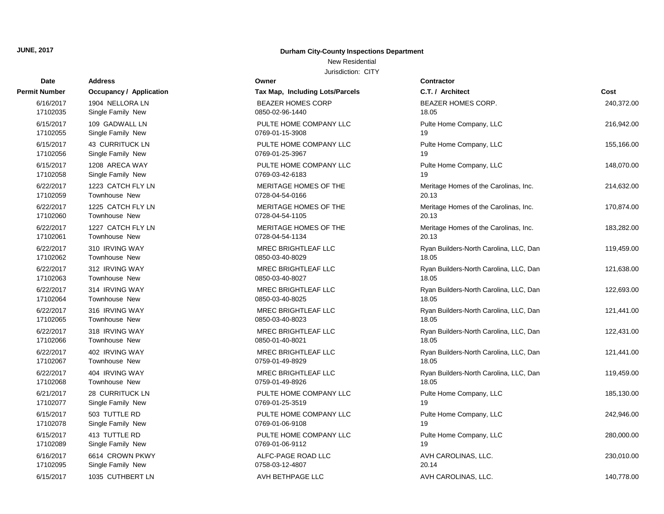# **Date Contractor Address Owner Permit Number Occupancy / Application Tax Map, Including L Parameter C.T.** *C.C.C. Comparent* **C.T.** *C.T. Comparent**C.T. Comparent**C.T. Comparent**C.T. Comparent**C.T. Comparent**C.T. Comparent**C.T. Compa* 17102095 Single Family New 20158-03-12-4807 17102089 Single Family New 0769-01-06-9112 17102078 Single Family New 0769-01-06-9108 17102077 Single Family New 2012 19:00 0769-01-25-3519 17102068 Townhouse New 2012 18:05 18:06 1759-01-49-8926 17102067 Townhouse New 2012 18:05 18:06 1759-01-49-8929 17102066 Townhouse New 2008/07/18.05/2012 17102066 Townhouse New 2008 17102065 Townhouse New 2008 100850-03-40-8023 17102064 Townhouse New 2008/03/18.05/0850-03-40-8025 17102063 Townhouse New 0850-03-40-8027 17102062 Townhouse New 2008/03/18.05/0850-03-40-8029 17102061 Townhouse New 0728-04-54-1134 20.13 17102060 Townhouse New 0728-04-54-1105 20.13 17102059 Townhouse New 2012 12:03 0728-04-54-0166 17102058 Single Family New 0769-03-42-6183 17102056 Single Family New 0769-01-25-3967 17102055 Single Family New 2012 19:00 0769-01-15-3908 17102035 Single Family New 0850-02-96-1440

#### **JUNE, 2017 Durham City-County Inspections Department**

#### New Residential

| Dale      | Auuress                        |                                 |                                        |            |
|-----------|--------------------------------|---------------------------------|----------------------------------------|------------|
| t Number  | <b>Occupancy / Application</b> | Tax Map, Including Lots/Parcels | C.T. / Architect                       | Cost       |
| 6/16/2017 | 1904 NELLORA LN                | <b>BEAZER HOMES CORP</b>        | BEAZER HOMES CORP.                     | 240,372.00 |
| 17102035  | Single Family New              | 0850-02-96-1440                 | 18.05                                  |            |
| 6/15/2017 | 109 GADWALL LN                 | PULTE HOME COMPANY LLC          | Pulte Home Company, LLC                | 216,942.00 |
| 17102055  | Single Family New              | 0769-01-15-3908                 | 19                                     |            |
| 6/15/2017 | 43 CURRITUCK LN                | PULTE HOME COMPANY LLC          | Pulte Home Company, LLC                | 155,166.00 |
| 17102056  | Single Family New              | 0769-01-25-3967                 | 19                                     |            |
| 6/15/2017 | 1208 ARECA WAY                 | PULTE HOME COMPANY LLC          | Pulte Home Company, LLC                | 148,070.00 |
| 17102058  | Single Family New              | 0769-03-42-6183                 | 19                                     |            |
| 6/22/2017 | 1223 CATCH FLY LN              | MERITAGE HOMES OF THE           | Meritage Homes of the Carolinas, Inc.  | 214,632.00 |
| 17102059  | Townhouse New                  | 0728-04-54-0166                 | 20.13                                  |            |
| 6/22/2017 | 1225 CATCH FLY LN              | MERITAGE HOMES OF THE           | Meritage Homes of the Carolinas, Inc.  | 170,874.00 |
| 17102060  | Townhouse New                  | 0728-04-54-1105                 | 20.13                                  |            |
| 6/22/2017 | 1227 CATCH FLY LN              | MERITAGE HOMES OF THE           | Meritage Homes of the Carolinas, Inc.  | 183,282.00 |
| 17102061  | Townhouse New                  | 0728-04-54-1134                 | 20.13                                  |            |
| 6/22/2017 | 310 IRVING WAY                 | MREC BRIGHTLEAF LLC             | Ryan Builders-North Carolina, LLC, Dan | 119,459.00 |
| 17102062  | Townhouse New                  | 0850-03-40-8029                 | 18.05                                  |            |
| 6/22/2017 | 312 IRVING WAY                 | <b>MREC BRIGHTLEAF LLC</b>      | Ryan Builders-North Carolina, LLC, Dan | 121,638.00 |
| 17102063  | Townhouse New                  | 0850-03-40-8027                 | 18.05                                  |            |
| 6/22/2017 | 314 IRVING WAY                 | MREC BRIGHTLEAF LLC             | Ryan Builders-North Carolina, LLC, Dan | 122,693.00 |
| 17102064  | Townhouse New                  | 0850-03-40-8025                 | 18.05                                  |            |
| 6/22/2017 | 316 IRVING WAY                 | <b>MREC BRIGHTLEAF LLC</b>      | Ryan Builders-North Carolina, LLC, Dan | 121,441.00 |
| 17102065  | Townhouse New                  | 0850-03-40-8023                 | 18.05                                  |            |
| 6/22/2017 | 318 IRVING WAY                 | <b>MREC BRIGHTLEAF LLC</b>      | Ryan Builders-North Carolina, LLC, Dan | 122,431.00 |
| 17102066  | Townhouse New                  | 0850-01-40-8021                 | 18.05                                  |            |
| 6/22/2017 | 402 IRVING WAY                 | <b>MREC BRIGHTLEAF LLC</b>      | Ryan Builders-North Carolina, LLC, Dan | 121,441.00 |
| 17102067  | Townhouse New                  | 0759-01-49-8929                 | 18.05                                  |            |
| 6/22/2017 | 404 IRVING WAY                 | <b>MREC BRIGHTLEAF LLC</b>      | Ryan Builders-North Carolina, LLC, Dan | 119,459.00 |
| 17102068  | Townhouse New                  | 0759-01-49-8926                 | 18.05                                  |            |
| 6/21/2017 | 28 CURRITUCK LN                | PULTE HOME COMPANY LLC          | Pulte Home Company, LLC                | 185,130.00 |
| 17102077  | Single Family New              | 0769-01-25-3519                 | 19                                     |            |
| 6/15/2017 | 503 TUTTLE RD                  | PULTE HOME COMPANY LLC          | Pulte Home Company, LLC                | 242,946.00 |
| 17102078  | Single Family New              | 0769-01-06-9108                 | 19                                     |            |
| 6/15/2017 | 413 TUTTLE RD                  | PULTE HOME COMPANY LLC          | Pulte Home Company, LLC                | 280,000.00 |
| 17102089  | Single Family New              | 0769-01-06-9112                 | 19                                     |            |
| 6/16/2017 | 6614 CROWN PKWY                | ALFC-PAGE ROAD LLC              | AVH CAROLINAS, LLC.                    | 230,010.00 |
| 17102095  | Single Family New              | 0758-03-12-4807                 | 20.14                                  |            |
| 6/15/2017 | 1035 CUTHBERT LN               | AVH BETHPAGE LLC                | AVH CAROLINAS, LLC.                    | 140,778.00 |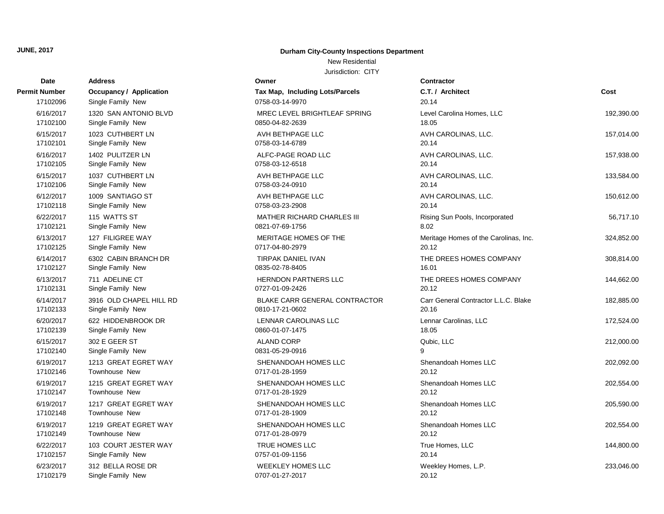# New Residential

| Date                 | <b>Address</b>          | Owner                                  | Contractor                            |            |
|----------------------|-------------------------|----------------------------------------|---------------------------------------|------------|
| <b>Permit Number</b> | Occupancy / Application | <b>Tax Map, Including Lots/Parcels</b> | C.T. / Architect                      | Cost       |
| 17102096             | Single Family New       | 0758-03-14-9970                        | 20.14                                 |            |
| 6/16/2017            | 1320 SAN ANTONIO BLVD   | MREC LEVEL BRIGHTLEAF SPRING           | Level Carolina Homes, LLC             | 192,390.00 |
| 17102100             | Single Family New       | 0850-04-82-2639                        | 18.05                                 |            |
| 6/15/2017            | 1023 CUTHBERT LN        | AVH BETHPAGE LLC                       | AVH CAROLINAS, LLC.                   | 157,014.00 |
| 17102101             | Single Family New       | 0758-03-14-6789                        | 20.14                                 |            |
| 6/16/2017            | 1402 PULITZER LN        | ALFC-PAGE ROAD LLC                     | AVH CAROLINAS, LLC.                   | 157,938.00 |
| 17102105             | Single Family New       | 0758-03-12-6518                        | 20.14                                 |            |
| 6/15/2017            | 1037 CUTHBERT LN        | AVH BETHPAGE LLC                       | AVH CAROLINAS, LLC.                   | 133,584.00 |
| 17102106             | Single Family New       | 0758-03-24-0910                        | 20.14                                 |            |
| 6/12/2017            | 1009 SANTIAGO ST        | AVH BETHPAGE LLC                       | AVH CAROLINAS, LLC.                   | 150,612.00 |
| 17102118             | Single Family New       | 0758-03-23-2908                        | 20.14                                 |            |
| 6/22/2017            | 115 WATTS ST            | <b>MATHER RICHARD CHARLES III</b>      | Rising Sun Pools, Incorporated        | 56,717.10  |
| 17102121             | Single Family New       | 0821-07-69-1756                        | 8.02                                  |            |
| 6/13/2017            | 127 FILIGREE WAY        | MERITAGE HOMES OF THE                  | Meritage Homes of the Carolinas, Inc. | 324,852.00 |
| 17102125             | Single Family New       | 0717-04-80-2979                        | 20.12                                 |            |
| 6/14/2017            | 6302 CABIN BRANCH DR    | <b>TIRPAK DANIEL IVAN</b>              | THE DREES HOMES COMPANY               | 308,814.00 |
| 17102127             | Single Family New       | 0835-02-78-8405                        | 16.01                                 |            |
| 6/13/2017            | 711 ADELINE CT          | <b>HERNDON PARTNERS LLC</b>            | THE DREES HOMES COMPANY               | 144,662.00 |
| 17102131             | Single Family New       | 0727-01-09-2426                        | 20.12                                 |            |
| 6/14/2017            | 3916 OLD CHAPEL HILL RD | BLAKE CARR GENERAL CONTRACTOR          | Carr General Contractor L.L.C. Blake  | 182,885.00 |
| 17102133             | Single Family New       | 0810-17-21-0602                        | 20.16                                 |            |
| 6/20/2017            | 622 HIDDENBROOK DR      | <b>LENNAR CAROLINAS LLC</b>            | Lennar Carolinas, LLC                 | 172,524.00 |
| 17102139             | Single Family New       | 0860-01-07-1475                        | 18.05                                 |            |
| 6/15/2017            | 302 E GEER ST           | <b>ALAND CORP</b>                      | Qubic, LLC                            | 212,000.00 |
| 17102140             | Single Family New       | 0831-05-29-0916                        | 9                                     |            |
| 6/19/2017            | 1213 GREAT EGRET WAY    | SHENANDOAH HOMES LLC                   | Shenandoah Homes LLC                  | 202,092.00 |
| 17102146             | <b>Townhouse New</b>    | 0717-01-28-1959                        | 20.12                                 |            |
| 6/19/2017            | 1215 GREAT EGRET WAY    | SHENANDOAH HOMES LLC                   | Shenandoah Homes LLC                  | 202,554.00 |
| 17102147             | <b>Townhouse New</b>    | 0717-01-28-1929                        | 20.12                                 |            |
| 6/19/2017            | 1217 GREAT EGRET WAY    | SHENANDOAH HOMES LLC                   | Shenandoah Homes LLC                  | 205,590.00 |
| 17102148             | <b>Townhouse New</b>    | 0717-01-28-1909                        | 20.12                                 |            |
| 6/19/2017            | 1219 GREAT EGRET WAY    | SHENANDOAH HOMES LLC                   | Shenandoah Homes LLC                  | 202,554.00 |
| 17102149             | Townhouse New           | 0717-01-28-0979                        | 20.12                                 |            |
| 6/22/2017            | 103 COURT JESTER WAY    | TRUE HOMES LLC                         | True Homes, LLC                       | 144,800.00 |
| 17102157             | Single Family New       | 0757-01-09-1156                        | 20.14                                 |            |
| 6/23/2017            | 312 BELLA ROSE DR       | <b>WEEKLEY HOMES LLC</b>               | Weekley Homes, L.P.                   | 233,046.00 |
| 17102179             | Single Family New       | 0707-01-27-2017                        | 20.12                                 |            |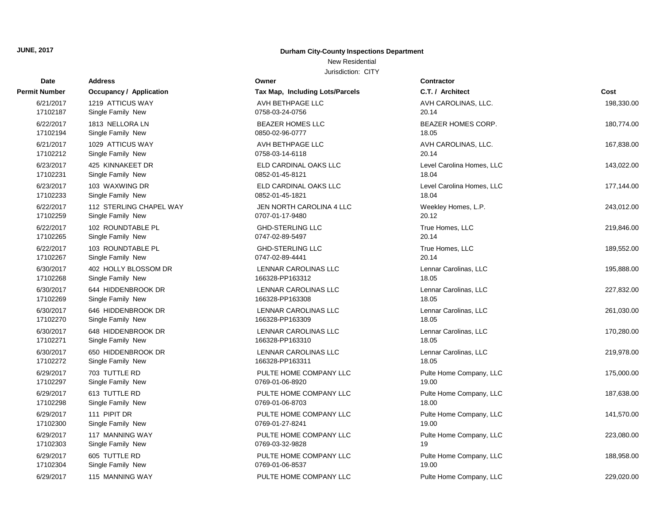#### New Residential

| Date          | <b>Address</b>                 | Owner                           | Contractor                |            |
|---------------|--------------------------------|---------------------------------|---------------------------|------------|
| Permit Number | <b>Occupancy / Application</b> | Tax Map, Including Lots/Parcels | C.T. / Architect          | Cost       |
| 6/21/2017     | 1219 ATTICUS WAY               | AVH BETHPAGE LLC                | AVH CAROLINAS, LLC.       | 198,330.00 |
| 17102187      | Single Family New              | 0758-03-24-0756                 | 20.14                     |            |
| 6/22/2017     | 1813 NELLORA LN                | <b>BEAZER HOMES LLC</b>         | BEAZER HOMES CORP.        | 180,774.00 |
| 17102194      | Single Family New              | 0850-02-96-0777                 | 18.05                     |            |
| 6/21/2017     | 1029 ATTICUS WAY               | AVH BETHPAGE LLC                | AVH CAROLINAS, LLC.       | 167,838.00 |
| 17102212      | Single Family New              | 0758-03-14-6118                 | 20.14                     |            |
| 6/23/2017     | 425 KINNAKEET DR               | ELD CARDINAL OAKS LLC           | Level Carolina Homes, LLC | 143,022.00 |
| 17102231      | Single Family New              | 0852-01-45-8121                 | 18.04                     |            |
| 6/23/2017     | 103 WAXWING DR                 | ELD CARDINAL OAKS LLC           | Level Carolina Homes, LLC | 177,144.00 |
| 17102233      | Single Family New              | 0852-01-45-1821                 | 18.04                     |            |
| 6/22/2017     | 112 STERLING CHAPEL WAY        | JEN NORTH CAROLINA 4 LLC        | Weekley Homes, L.P.       | 243,012.00 |
| 17102259      | Single Family New              | 0707-01-17-9480                 | 20.12                     |            |
| 6/22/2017     | 102 ROUNDTABLE PL              | <b>GHD-STERLING LLC</b>         | True Homes, LLC           | 219,846.00 |
| 17102265      | Single Family New              | 0747-02-89-5497                 | 20.14                     |            |
| 6/22/2017     | 103 ROUNDTABLE PL              | <b>GHD-STERLING LLC</b>         | True Homes, LLC           | 189,552.00 |
| 17102267      | Single Family New              | 0747-02-89-4441                 | 20.14                     |            |
| 6/30/2017     | 402 HOLLY BLOSSOM DR           | LENNAR CAROLINAS LLC            | Lennar Carolinas, LLC     | 195,888.00 |
| 17102268      | Single Family New              | 166328-PP163312                 | 18.05                     |            |
| 6/30/2017     | 644 HIDDENBROOK DR             | LENNAR CAROLINAS LLC            | Lennar Carolinas, LLC     | 227,832.00 |
| 17102269      | Single Family New              | 166328-PP163308                 | 18.05                     |            |
| 6/30/2017     | 646 HIDDENBROOK DR             | LENNAR CAROLINAS LLC            | Lennar Carolinas, LLC     | 261,030.00 |
| 17102270      | Single Family New              | 166328-PP163309                 | 18.05                     |            |
| 6/30/2017     | 648 HIDDENBROOK DR             | LENNAR CAROLINAS LLC            | Lennar Carolinas, LLC     | 170,280.00 |
| 17102271      | Single Family New              | 166328-PP163310                 | 18.05                     |            |
| 6/30/2017     | 650 HIDDENBROOK DR             | LENNAR CAROLINAS LLC            | Lennar Carolinas, LLC     | 219,978.00 |
| 17102272      | Single Family New              | 166328-PP163311                 | 18.05                     |            |
| 6/29/2017     | 703 TUTTLE RD                  | PULTE HOME COMPANY LLC          | Pulte Home Company, LLC   | 175,000.00 |
| 17102297      | Single Family New              | 0769-01-06-8920                 | 19.00                     |            |
| 6/29/2017     | 613 TUTTLE RD                  | PULTE HOME COMPANY LLC          | Pulte Home Company, LLC   | 187,638.00 |
| 17102298      | Single Family New              | 0769-01-06-8703                 | 18.00                     |            |
| 6/29/2017     | 111 PIPIT DR                   | PULTE HOME COMPANY LLC          | Pulte Home Company, LLC   | 141,570.00 |
| 17102300      | Single Family New              | 0769-01-27-8241                 | 19.00                     |            |
| 6/29/2017     | 117 MANNING WAY                | PULTE HOME COMPANY LLC          | Pulte Home Company, LLC   | 223,080.00 |
| 17102303      | Single Family New              | 0769-03-32-9828                 | 19                        |            |
| 6/29/2017     | 605 TUTTLE RD                  | PULTE HOME COMPANY LLC          | Pulte Home Company, LLC   | 188,958.00 |
| 17102304      | Single Family New              | 0769-01-06-8537                 | 19.00                     |            |
| 6/29/2017     | 115 MANNING WAY                | PULTE HOME COMPANY LLC          | Pulte Home Company, LLC   | 229,020.00 |